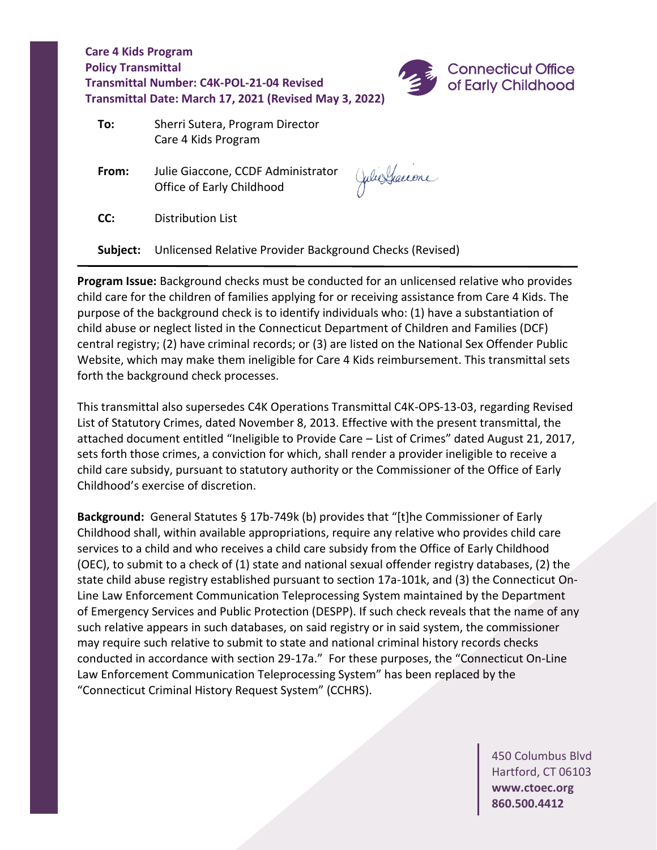

| To: | Sherri Sutera, Program Director |
|-----|---------------------------------|
|     | Care 4 Kids Program             |

 **From:** Julie Giaccone, CCDF Administrator Office of Early Childhood

Julie Graccone

**CC:** Distribution List

**Subject:** Unlicensed Relative Provider Background Checks (Revised)

**Program Issue:** Background checks must be conducted for an unlicensed relative who provides child care for the children of families applying for or receiving assistance from Care 4 Kids. The purpose of the background check is to identify individuals who: (1) have a substantiation of child abuse or neglect listed in the Connecticut Department of Children and Families (DCF) central registry; (2) have criminal records; or (3) are listed on the National Sex Offender Public Website, which may make them ineligible for Care 4 Kids reimbursement. This transmittal sets forth the background check processes.

This transmittal also supersedes C4K Operations Transmittal C4K-OPS-13-03, regarding Revised List of Statutory Crimes, dated November 8, 2013. Effective with the present transmittal, the attached document entitled "Ineligible to Provide Care – List of Crimes" dated August 21, 2017, sets forth those crimes, a conviction for which, shall render a provider ineligible to receive a child care subsidy, pursuant to statutory authority or the Commissioner of the Office of Early Childhood's exercise of discretion.

**Background:** General Statutes § 17b-749k (b) provides that "[t]he Commissioner of Early Childhood shall, within available appropriations, require any relative who provides child care services to a child and who receives a child care subsidy from the Office of Early Childhood (OEC), to submit to a check of (1) state and national sexual offender registry databases, (2) the state child abuse registry established pursuant to section 17a-101k, and (3) the Connecticut On-Line Law Enforcement Communication Teleprocessing System maintained by the Department of Emergency Services and Public Protection (DESPP). If such check reveals that the name of any such relative appears in such databases, on said registry or in said system, the commissioner may require such relative to submit to state and national criminal history records checks conducted in accordance with section 29-17a." For these purposes, the "Connecticut On-Line Law Enforcement Communication Teleprocessing System" has been replaced by the "Connecticut Criminal History Request System" (CCHRS).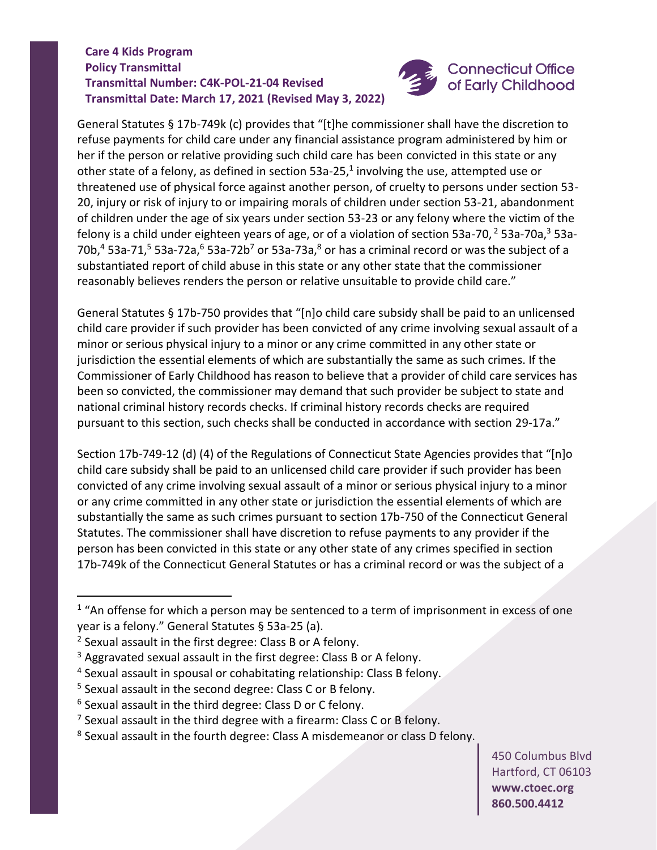

General Statutes § 17b-749k (c) provides that "[t]he commissioner shall have the discretion to refuse payments for child care under any financial assistance program administered by him or her if the person or relative providing such child care has been convicted in this state or any other state of a felony, as defined in section 53a-25,<sup>1</sup> involving the use, attempted use or threatened use of physical force against another person, of cruelty to persons under section 53- 20, injury or risk of injury to or impairing morals of children under section 53-21, abandonment of children under the age of six years under section 53-23 or any felony where the victim of the felony is a child under eighteen years of age, or of a violation of section 53a-70,  $2$  53a-70a,  $3$  53a-70b, $4$  53a-71, $5$  53a-72a, $6$  53a-72b<sup>7</sup> or 53a-73a, $8$  or has a criminal record or was the subject of a substantiated report of child abuse in this state or any other state that the commissioner reasonably believes renders the person or relative unsuitable to provide child care."

General Statutes § 17b-750 provides that "[n]o child care subsidy shall be paid to an unlicensed child care provider if such provider has been convicted of any crime involving sexual assault of a minor or serious physical injury to a minor or any crime committed in any other state or jurisdiction the essential elements of which are substantially the same as such crimes. If the Commissioner of Early Childhood has reason to believe that a provider of child care services has been so convicted, the commissioner may demand that such provider be subject to state and national criminal history records checks. If criminal history records checks are required pursuant to this section, such checks shall be conducted in accordance with section 29-17a."

Section 17b-749-12 (d) (4) of the Regulations of Connecticut State Agencies provides that "[n]o child care subsidy shall be paid to an unlicensed child care provider if such provider has been convicted of any crime involving sexual assault of a minor or serious physical injury to a minor or any crime committed in any other state or jurisdiction the essential elements of which are substantially the same as such crimes pursuant to section 17b-750 of the Connecticut General Statutes. The commissioner shall have discretion to refuse payments to any provider if the person has been convicted in this state or any other state of any crimes specified in section 17b-749k of the Connecticut General Statutes or has a criminal record or was the subject of a

 $1$  "An offense for which a person may be sentenced to a term of imprisonment in excess of one year is a felony." General Statutes § 53a-25 (a).

<sup>2</sup> Sexual assault in the first degree: Class B or A felony.

<sup>&</sup>lt;sup>3</sup> Aggravated sexual assault in the first degree: Class B or A felony.

<sup>4</sup> Sexual assault in spousal or cohabitating relationship: Class B felony.

<sup>5</sup> Sexual assault in the second degree: Class C or B felony.

 $6$  Sexual assault in the third degree: Class D or C felony.

 $<sup>7</sup>$  Sexual assault in the third degree with a firearm: Class C or B felony.</sup>

<sup>8</sup> Sexual assault in the fourth degree: Class A misdemeanor or class D felony.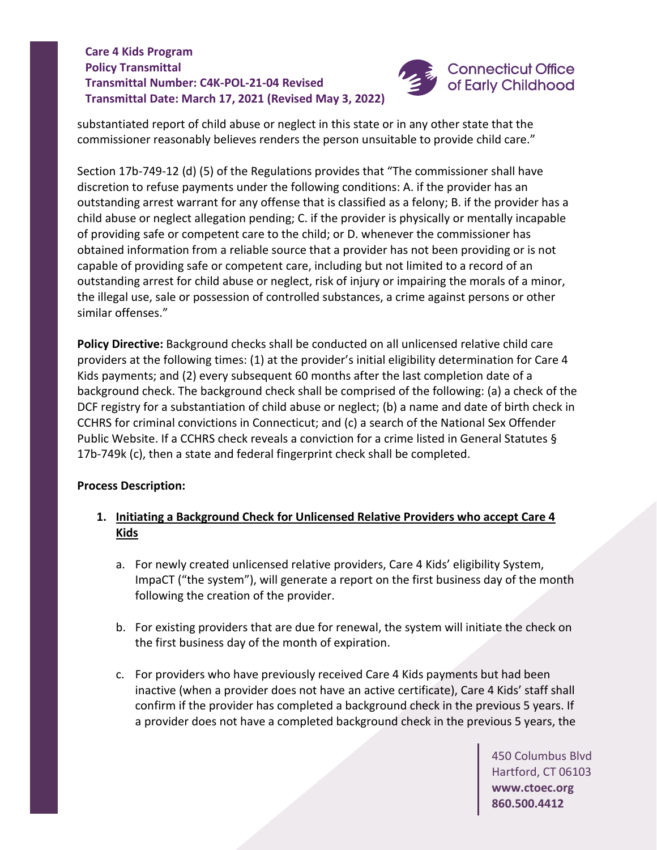

substantiated report of child abuse or neglect in this state or in any other state that the commissioner reasonably believes renders the person unsuitable to provide child care."

Section 17b-749-12 (d) (5) of the Regulations provides that "The commissioner shall have discretion to refuse payments under the following conditions: A. if the provider has an outstanding arrest warrant for any offense that is classified as a felony; B. if the provider has a child abuse or neglect allegation pending; C. if the provider is physically or mentally incapable of providing safe or competent care to the child; or D. whenever the commissioner has obtained information from a reliable source that a provider has not been providing or is not capable of providing safe or competent care, including but not limited to a record of an outstanding arrest for child abuse or neglect, risk of injury or impairing the morals of a minor, the illegal use, sale or possession of controlled substances, a crime against persons or other similar offenses."

**Policy Directive:** Background checks shall be conducted on all unlicensed relative child care providers at the following times: (1) at the provider's initial eligibility determination for Care 4 Kids payments; and (2) every subsequent 60 months after the last completion date of a background check. The background check shall be comprised of the following: (a) a check of the DCF registry for a substantiation of child abuse or neglect; (b) a name and date of birth check in CCHRS for criminal convictions in Connecticut; and (c) a search of the National Sex Offender Public Website. If a CCHRS check reveals a conviction for a crime listed in General Statutes § 17b-749k (c), then a state and federal fingerprint check shall be completed.

## **Process Description:**

- **1. Initiating a Background Check for Unlicensed Relative Providers who accept Care 4 Kids**
	- a. For newly created unlicensed relative providers, Care 4 Kids' eligibility System, ImpaCT ("the system"), will generate a report on the first business day of the month following the creation of the provider.
	- b. For existing providers that are due for renewal, the system will initiate the check on the first business day of the month of expiration.
	- c. For providers who have previously received Care 4 Kids payments but had been inactive (when a provider does not have an active certificate), Care 4 Kids' staff shall confirm if the provider has completed a background check in the previous 5 years. If a provider does not have a completed background check in the previous 5 years, the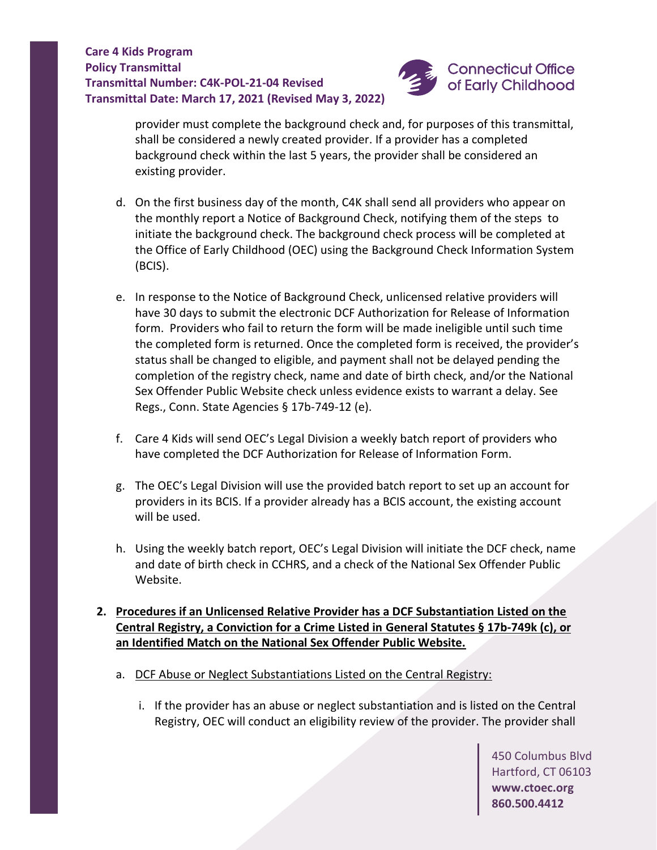

provider must complete the background check and, for purposes of this transmittal, shall be considered a newly created provider. If a provider has a completed background check within the last 5 years, the provider shall be considered an existing provider.

- d. On the first business day of the month, C4K shall send all providers who appear on the monthly report a Notice of Background Check, notifying them of the steps to initiate the background check. The background check process will be completed at the Office of Early Childhood (OEC) using the Background Check Information System (BCIS).
- e. In response to the Notice of Background Check, unlicensed relative providers will have 30 days to submit the electronic DCF Authorization for Release of Information form. Providers who fail to return the form will be made ineligible until such time the completed form is returned. Once the completed form is received, the provider's status shall be changed to eligible, and payment shall not be delayed pending the completion of the registry check, name and date of birth check, and/or the National Sex Offender Public Website check unless evidence exists to warrant a delay. See Regs., Conn. State Agencies § 17b-749-12 (e).
- f. Care 4 Kids will send OEC's Legal Division a weekly batch report of providers who have completed the DCF Authorization for Release of Information Form.
- g. The OEC's Legal Division will use the provided batch report to set up an account for providers in its BCIS. If a provider already has a BCIS account, the existing account will be used.
- h. Using the weekly batch report, OEC's Legal Division will initiate the DCF check, name and date of birth check in CCHRS, and a check of the National Sex Offender Public Website.

# **2. Procedures if an Unlicensed Relative Provider has a DCF Substantiation Listed on the Central Registry, a Conviction for a Crime Listed in General Statutes § 17b-749k (c), or an Identified Match on the National Sex Offender Public Website.**

- a. DCF Abuse or Neglect Substantiations Listed on the Central Registry:
	- i. If the provider has an abuse or neglect substantiation and is listed on the Central Registry, OEC will conduct an eligibility review of the provider. The provider shall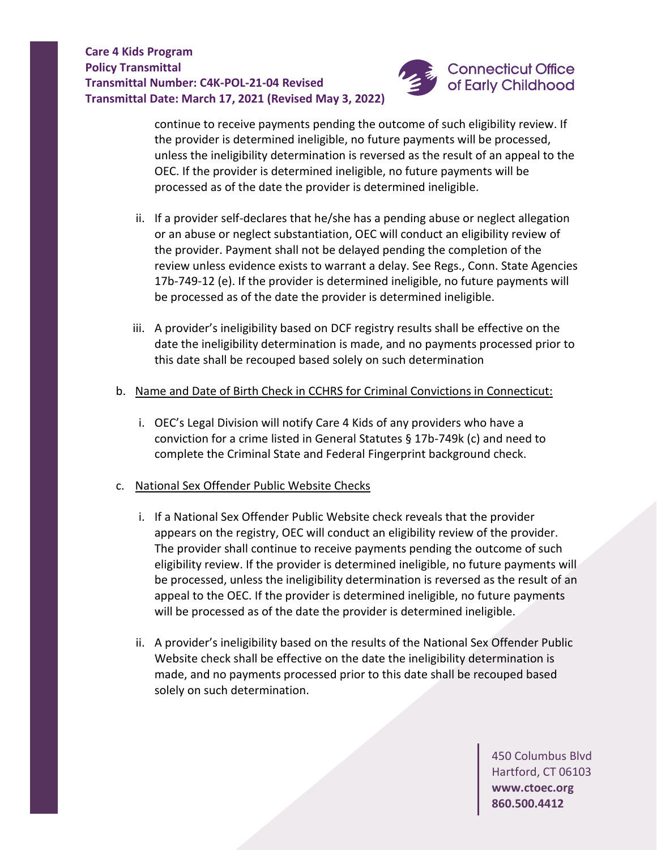

continue to receive payments pending the outcome of such eligibility review. If the provider is determined ineligible, no future payments will be processed, unless the ineligibility determination is reversed as the result of an appeal to the OEC. If the provider is determined ineligible, no future payments will be processed as of the date the provider is determined ineligible.

- ii. If a provider self-declares that he/she has a pending abuse or neglect allegation or an abuse or neglect substantiation, OEC will conduct an eligibility review of the provider. Payment shall not be delayed pending the completion of the review unless evidence exists to warrant a delay. See Regs., Conn. State Agencies 17b-749-12 (e). If the provider is determined ineligible, no future payments will be processed as of the date the provider is determined ineligible.
- iii. A provider's ineligibility based on DCF registry results shall be effective on the date the ineligibility determination is made, and no payments processed prior to this date shall be recouped based solely on such determination
- b. Name and Date of Birth Check in CCHRS for Criminal Convictions in Connecticut:
	- i. OEC's Legal Division will notify Care 4 Kids of any providers who have a conviction for a crime listed in General Statutes § 17b-749k (c) and need to complete the Criminal State and Federal Fingerprint background check.
- c. National Sex Offender Public Website Checks
	- i. If a National Sex Offender Public Website check reveals that the provider appears on the registry, OEC will conduct an eligibility review of the provider. The provider shall continue to receive payments pending the outcome of such eligibility review. If the provider is determined ineligible, no future payments will be processed, unless the ineligibility determination is reversed as the result of an appeal to the OEC. If the provider is determined ineligible, no future payments will be processed as of the date the provider is determined ineligible.
	- ii. A provider's ineligibility based on the results of the National Sex Offender Public Website check shall be effective on the date the ineligibility determination is made, and no payments processed prior to this date shall be recouped based solely on such determination.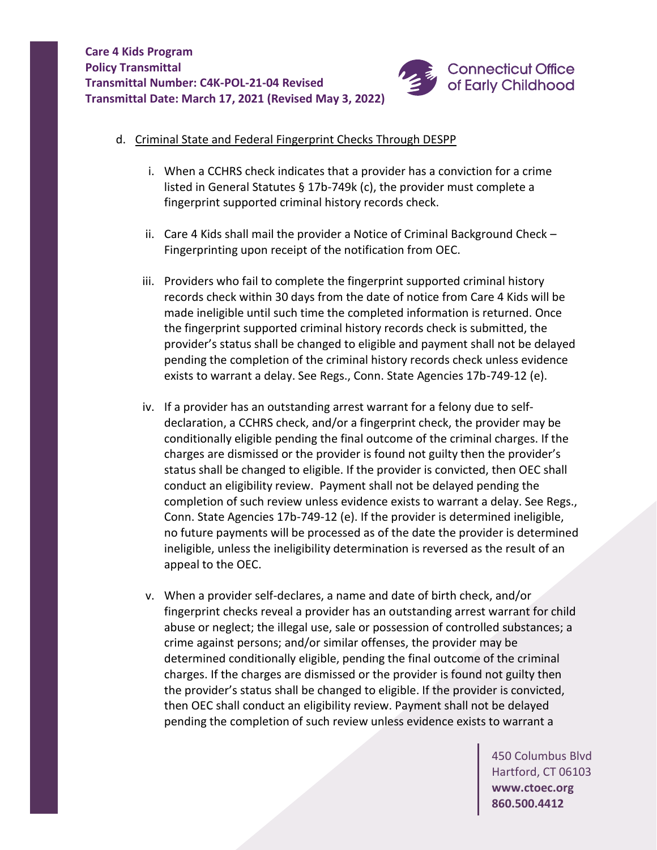

- d. Criminal State and Federal Fingerprint Checks Through DESPP
	- i. When a CCHRS check indicates that a provider has a conviction for a crime listed in General Statutes § 17b-749k (c), the provider must complete a fingerprint supported criminal history records check.
	- ii. Care 4 Kids shall mail the provider a Notice of Criminal Background Check Fingerprinting upon receipt of the notification from OEC.
	- iii. Providers who fail to complete the fingerprint supported criminal history records check within 30 days from the date of notice from Care 4 Kids will be made ineligible until such time the completed information is returned. Once the fingerprint supported criminal history records check is submitted, the provider's status shall be changed to eligible and payment shall not be delayed pending the completion of the criminal history records check unless evidence exists to warrant a delay. See Regs., Conn. State Agencies 17b-749-12 (e).
	- iv. If a provider has an outstanding arrest warrant for a felony due to selfdeclaration, a CCHRS check, and/or a fingerprint check, the provider may be conditionally eligible pending the final outcome of the criminal charges. If the charges are dismissed or the provider is found not guilty then the provider's status shall be changed to eligible. If the provider is convicted, then OEC shall conduct an eligibility review. Payment shall not be delayed pending the completion of such review unless evidence exists to warrant a delay. See Regs., Conn. State Agencies 17b-749-12 (e). If the provider is determined ineligible, no future payments will be processed as of the date the provider is determined ineligible, unless the ineligibility determination is reversed as the result of an appeal to the OEC.
	- v. When a provider self-declares, a name and date of birth check, and/or fingerprint checks reveal a provider has an outstanding arrest warrant for child abuse or neglect; the illegal use, sale or possession of controlled substances; a crime against persons; and/or similar offenses, the provider may be determined conditionally eligible, pending the final outcome of the criminal charges. If the charges are dismissed or the provider is found not guilty then the provider's status shall be changed to eligible. If the provider is convicted, then OEC shall conduct an eligibility review. Payment shall not be delayed pending the completion of such review unless evidence exists to warrant a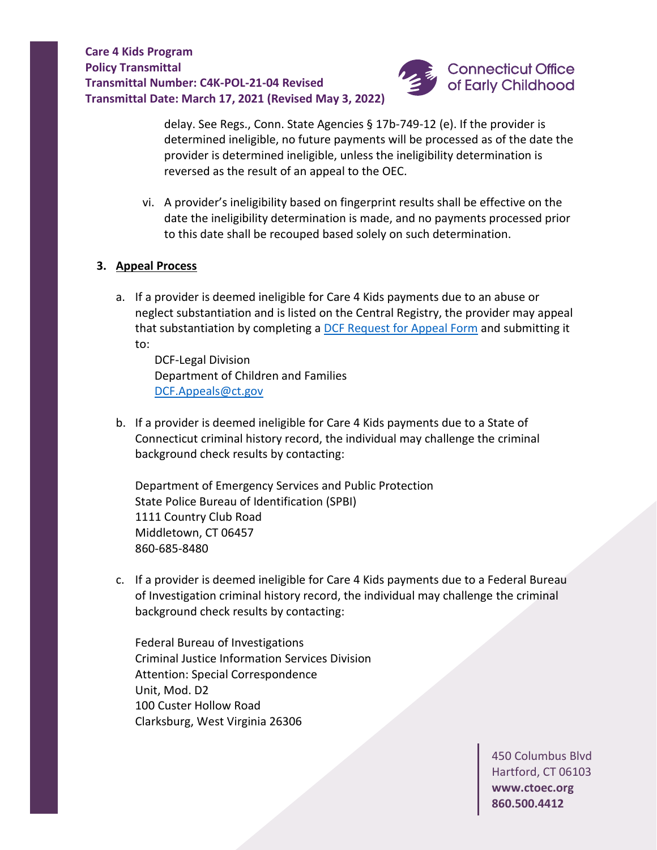

delay. See Regs., Conn. State Agencies § 17b-749-12 (e). If the provider is determined ineligible, no future payments will be processed as of the date the provider is determined ineligible, unless the ineligibility determination is reversed as the result of an appeal to the OEC.

vi. A provider's ineligibility based on fingerprint results shall be effective on the date the ineligibility determination is made, and no payments processed prior to this date shall be recouped based solely on such determination.

#### **3. Appeal Process**

a. If a provider is deemed ineligible for Care 4 Kids payments due to an abuse or neglect substantiation and is listed on the Central Registry, the provider may appeal that substantiation by completing a [DCF Request for Appeal Form](https://portal.ct.gov/-/media/DCF/Policy/NEW-fillin-Forms/DCF-2210-B-1-13-21.pdf) and submitting it to:

DCF-Legal Division Department of Children and Families [DCF.Appeals@ct.gov](mailto:DCF.Appeals@ct.gov)

b. If a provider is deemed ineligible for Care 4 Kids payments due to a State of Connecticut criminal history record, the individual may challenge the criminal background check results by contacting:

Department of Emergency Services and Public Protection State Police Bureau of Identification (SPBI) 1111 Country Club Road Middletown, CT 06457 860-685-8480

c. If a provider is deemed ineligible for Care 4 Kids payments due to a Federal Bureau of Investigation criminal history record, the individual may challenge the criminal background check results by contacting:

Federal Bureau of Investigations Criminal Justice Information Services Division Attention: Special Correspondence Unit, Mod. D2 100 Custer Hollow Road Clarksburg, West Virginia 26306